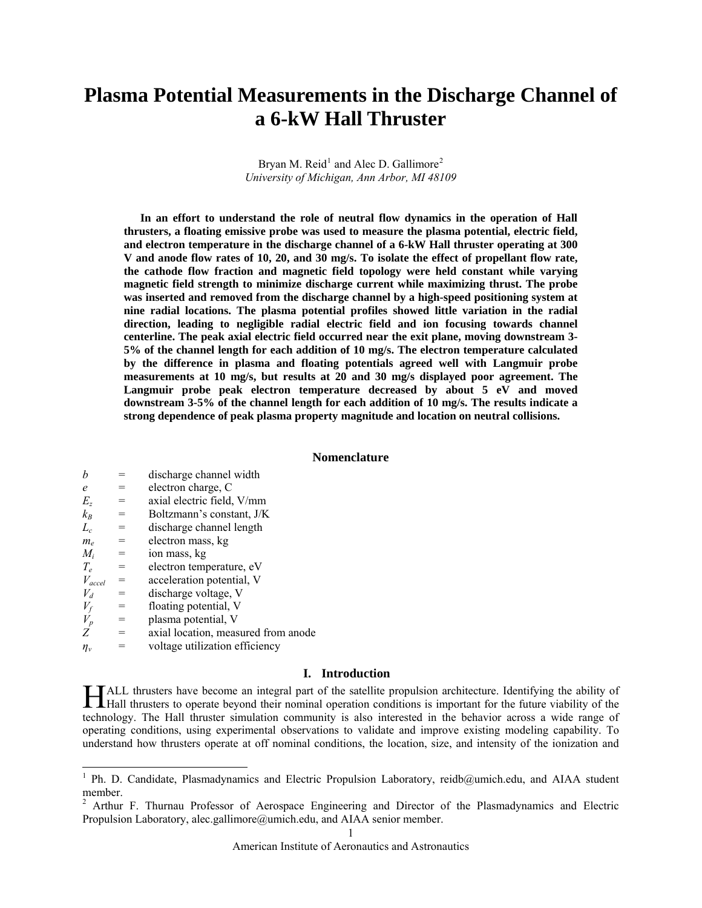# **Plasma Potential Measurements in the Discharge Channel of a 6-kW Hall Thruster**

Bryan M. Reid<sup>[1](#page-0-0)</sup> and Alec D. Gallimore<sup>[2](#page-0-1)</sup> *University of Michigan, Ann Arbor, MI 48109* 

**In an effort to understand the role of neutral flow dynamics in the operation of Hall thrusters, a floating emissive probe was used to measure the plasma potential, electric field, and electron temperature in the discharge channel of a 6-kW Hall thruster operating at 300 V and anode flow rates of 10, 20, and 30 mg/s. To isolate the effect of propellant flow rate, the cathode flow fraction and magnetic field topology were held constant while varying magnetic field strength to minimize discharge current while maximizing thrust. The probe was inserted and removed from the discharge channel by a high-speed positioning system at nine radial locations. The plasma potential profiles showed little variation in the radial direction, leading to negligible radial electric field and ion focusing towards channel centerline. The peak axial electric field occurred near the exit plane, moving downstream 3- 5% of the channel length for each addition of 10 mg/s. The electron temperature calculated by the difference in plasma and floating potentials agreed well with Langmuir probe measurements at 10 mg/s, but results at 20 and 30 mg/s displayed poor agreement. The Langmuir probe peak electron temperature decreased by about 5 eV and moved downstream 3-5% of the channel length for each addition of 10 mg/s. The results indicate a strong dependence of peak plasma property magnitude and location on neutral collisions.** 

## **Nomenclature**

| h           |     | discharge channel width             |
|-------------|-----|-------------------------------------|
| e           | $=$ | electron charge, C                  |
| Е.,         | $=$ | axial electric field, V/mm          |
| $k_B$       | $=$ | Boltzmann's constant, J/K           |
| $L_c$       | $=$ | discharge channel length            |
| $m_e$       | $=$ | electron mass, kg                   |
| $M_i$       | $=$ | ion mass, kg                        |
| $T_e$       | $=$ | electron temperature, eV            |
| $V_{accel}$ | $=$ | acceleration potential, V           |
| $V_d$       | $=$ | discharge voltage, V                |
| $V_f$       | $=$ | floating potential, V               |
| $V_p$       | $=$ | plasma potential, V                 |
| Ζ           | $=$ | axial location, measured from anode |
| $\eta_v$    |     | voltage utilization efficiency      |
|             |     |                                     |

### **I. Introduction**

ALL thrusters have become an integral part of the satellite propulsion architecture. Identifying the ability of Hall thrusters have become an integral part of the satellite propulsion architecture. Identifying the ability of the Hall thrusters to operate beyond their nominal operation conditions is important for the future viability technology. The Hall thruster simulation community is also interested in the behavior across a wide range of operating conditions, using experimental observations to validate and improve existing modeling capability. To understand how thrusters operate at off nominal conditions, the location, size, and intensity of the ionization and

<span id="page-0-0"></span><sup>&</sup>lt;sup>1</sup> Ph. D. Candidate, Plasmadynamics and Electric Propulsion Laboratory, reidb@umich.edu, and AIAA student member.

<span id="page-0-1"></span><sup>&</sup>lt;sup>2</sup> Arthur F. Thurnau Professor of Aerospace Engineering and Director of the Plasmadynamics and Electric Propulsion Laboratory, alec.gallimore@umich.edu, and AIAA senior member.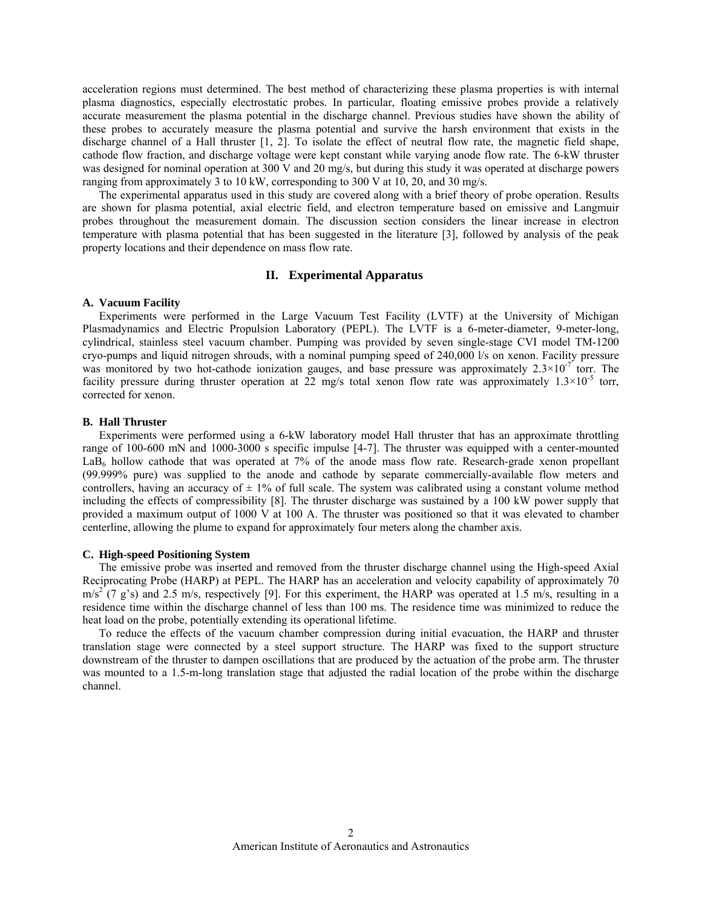acceleration regions must determined. The best method of characterizing these plasma properties is with internal plasma diagnostics, especially electrostatic probes. In particular, floating emissive probes provide a relatively accurate measurement the plasma potential in the discharge channel. Previous studies have shown the ability of these probes to accurately measure the plasma potential and survive the harsh environment that exists in the discharge channel of a Hall thruster [1, 2]. To isolate the effect of neutral flow rate, the magnetic field shape, cathode flow fraction, and discharge voltage were kept constant while varying anode flow rate. The 6-kW thruster was designed for nominal operation at 300 V and 20 mg/s, but during this study it was operated at discharge powers ranging from approximately 3 to 10 kW, corresponding to 300 V at 10, 20, and 30 mg/s.

The experimental apparatus used in this study are covered along with a brief theory of probe operation. Results are shown for plasma potential, axial electric field, and electron temperature based on emissive and Langmuir probes throughout the measurement domain. The discussion section considers the linear increase in electron temperature with plasma potential that has been suggested in the literature [3], followed by analysis of the peak property locations and their dependence on mass flow rate.

# **II. Experimental Apparatus**

# **A. Vacuum Facility**

Experiments were performed in the Large Vacuum Test Facility (LVTF) at the University of Michigan Plasmadynamics and Electric Propulsion Laboratory (PEPL). The LVTF is a 6-meter-diameter, 9-meter-long, cylindrical, stainless steel vacuum chamber. Pumping was provided by seven single-stage CVI model TM-1200 cryo-pumps and liquid nitrogen shrouds, with a nominal pumping speed of 240,000 l/s on xenon. Facility pressure was monitored by two hot-cathode ionization gauges, and base pressure was approximately  $2.3 \times 10^{-7}$  torr. The facility pressure during thruster operation at 22 mg/s total xenon flow rate was approximately  $1.3 \times 10^{-5}$  torr, corrected for xenon.

# **B. Hall Thruster**

Experiments were performed using a 6-kW laboratory model Hall thruster that has an approximate throttling range of 100-600 mN and 1000-3000 s specific impulse [4-7]. The thruster was equipped with a center-mounted LaB<sub>6</sub> hollow cathode that was operated at 7% of the anode mass flow rate. Research-grade xenon propellant (99.999% pure) was supplied to the anode and cathode by separate commercially-available flow meters and controllers, having an accuracy of  $\pm$  1% of full scale. The system was calibrated using a constant volume method including the effects of compressibility [8]. The thruster discharge was sustained by a 100 kW power supply that provided a maximum output of 1000 V at 100 A. The thruster was positioned so that it was elevated to chamber centerline, allowing the plume to expand for approximately four meters along the chamber axis.

## **C. High-speed Positioning System**

The emissive probe was inserted and removed from the thruster discharge channel using the High-speed Axial Reciprocating Probe (HARP) at PEPL. The HARP has an acceleration and velocity capability of approximately 70  $m/s<sup>2</sup>$  (7 g's) and 2.5 m/s, respectively [9]. For this experiment, the HARP was operated at 1.5 m/s, resulting in a residence time within the discharge channel of less than 100 ms. The residence time was minimized to reduce the heat load on the probe, potentially extending its operational lifetime.

To reduce the effects of the vacuum chamber compression during initial evacuation, the HARP and thruster translation stage were connected by a steel support structure. The HARP was fixed to the support structure downstream of the thruster to dampen oscillations that are produced by the actuation of the probe arm. The thruster was mounted to a 1.5-m-long translation stage that adjusted the radial location of the probe within the discharge channel.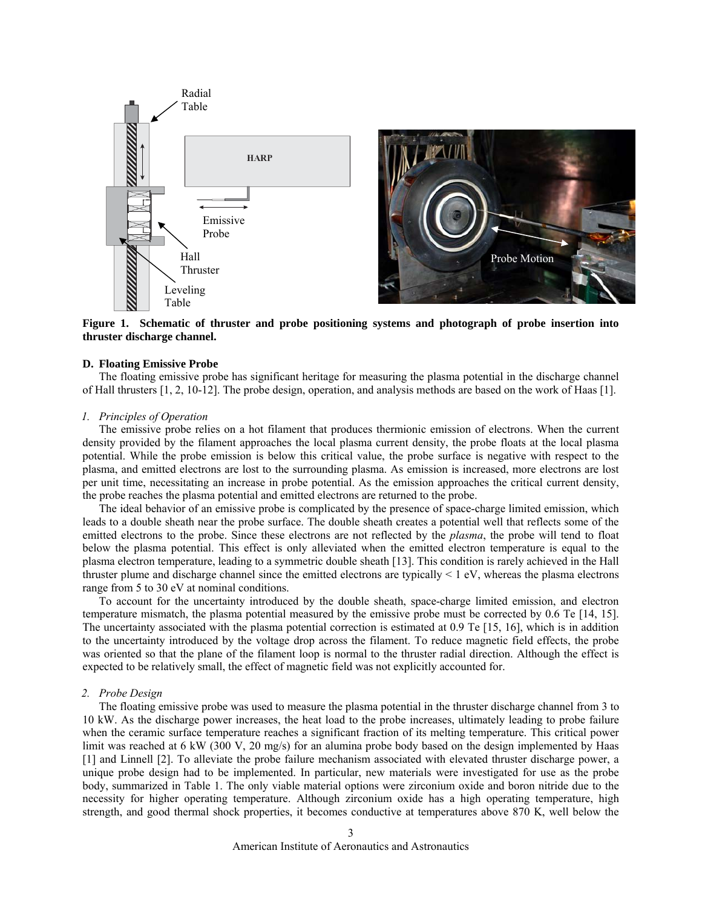

**Figure 1. Schematic of thruster and probe positioning systems and photograph of probe insertion into thruster discharge channel.** 

#### **D. Floating Emissive Probe**

The floating emissive probe has significant heritage for measuring the plasma potential in the discharge channel of Hall thrusters [1, 2, 10-12]. The probe design, operation, and analysis methods are based on the work of Haas [1].

# *1. Principles of Operation*

The emissive probe relies on a hot filament that produces thermionic emission of electrons. When the current density provided by the filament approaches the local plasma current density, the probe floats at the local plasma potential. While the probe emission is below this critical value, the probe surface is negative with respect to the plasma, and emitted electrons are lost to the surrounding plasma. As emission is increased, more electrons are lost per unit time, necessitating an increase in probe potential. As the emission approaches the critical current density, the probe reaches the plasma potential and emitted electrons are returned to the probe.

The ideal behavior of an emissive probe is complicated by the presence of space-charge limited emission, which leads to a double sheath near the probe surface. The double sheath creates a potential well that reflects some of the emitted electrons to the probe. Since these electrons are not reflected by the *plasma*, the probe will tend to float below the plasma potential. This effect is only alleviated when the emitted electron temperature is equal to the plasma electron temperature, leading to a symmetric double sheath [13]. This condition is rarely achieved in the Hall thruster plume and discharge channel since the emitted electrons are typically  $\leq 1$  eV, whereas the plasma electrons range from 5 to 30 eV at nominal conditions.

To account for the uncertainty introduced by the double sheath, space-charge limited emission, and electron temperature mismatch, the plasma potential measured by the emissive probe must be corrected by 0.6 Te [14, 15]. The uncertainty associated with the plasma potential correction is estimated at 0.9 Te [15, 16], which is in addition to the uncertainty introduced by the voltage drop across the filament. To reduce magnetic field effects, the probe was oriented so that the plane of the filament loop is normal to the thruster radial direction. Although the effect is expected to be relatively small, the effect of magnetic field was not explicitly accounted for.

#### *2. Probe Design*

The floating emissive probe was used to measure the plasma potential in the thruster discharge channel from 3 to 10 kW. As the discharge power increases, the heat load to the probe increases, ultimately leading to probe failure when the ceramic surface temperature reaches a significant fraction of its melting temperature. This critical power limit was reached at 6 kW (300 V, 20 mg/s) for an alumina probe body based on the design implemented by Haas [1] and Linnell [2]. To alleviate the probe failure mechanism associated with elevated thruster discharge power, a unique probe design had to be implemented. In particular, new materials were investigated for use as the probe body, summarized in [Table 1.](#page-3-0) The only viable material options were zirconium oxide and boron nitride due to the necessity for higher operating temperature. Although zirconium oxide has a high operating temperature, high strength, and good thermal shock properties, it becomes conductive at temperatures above 870 K, well below the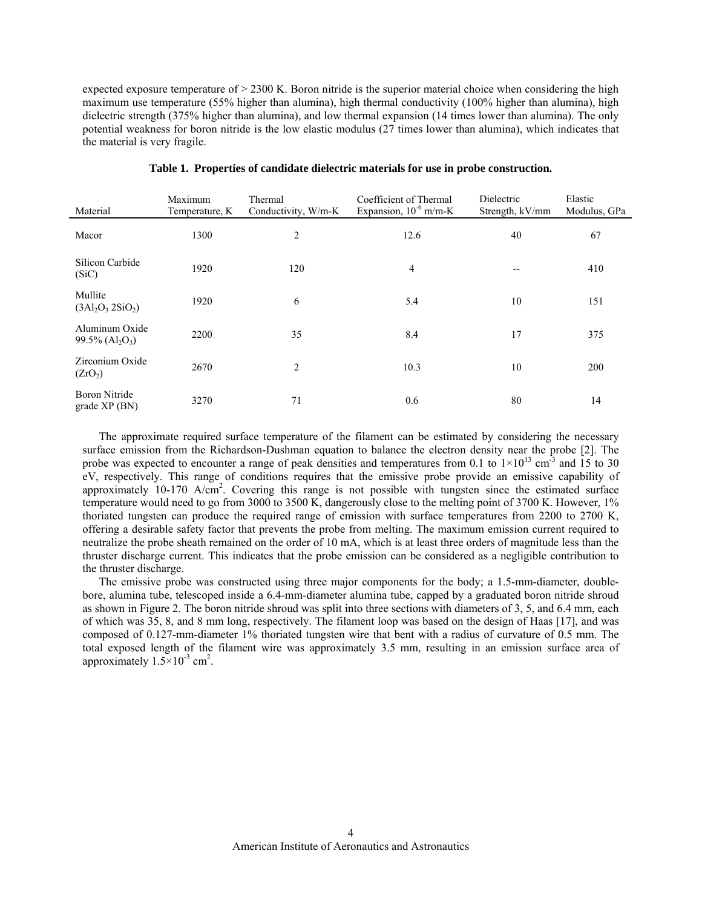expected exposure temperature of > 2300 K. Boron nitride is the superior material choice when considering the high maximum use temperature (55% higher than alumina), high thermal conductivity (100% higher than alumina), high dielectric strength (375% higher than alumina), and low thermal expansion (14 times lower than alumina). The only potential weakness for boron nitride is the low elastic modulus (27 times lower than alumina), which indicates that the material is very fragile.

<span id="page-3-0"></span>

| Material                                                     | Maximum<br>Temperature, K | Thermal<br>Conductivity, W/m-K | Coefficient of Thermal<br>Expansion, $10^{-6}$ m/m-K | Dielectric<br>Strength, kV/mm | Elastic<br>Modulus, GPa |
|--------------------------------------------------------------|---------------------------|--------------------------------|------------------------------------------------------|-------------------------------|-------------------------|
| Macor                                                        | 1300                      | 2                              | 12.6                                                 | 40                            | 67                      |
| Silicon Carbide<br>(SiC)                                     | 1920                      | 120                            | 4                                                    | $-$                           | 410                     |
| Mullite<br>$(3Al_2O_3 2SiO_2)$                               | 1920                      | 6                              | 5.4                                                  | 10                            | 151                     |
| Aluminum Oxide<br>$99.5\%$ (Al <sub>2</sub> O <sub>3</sub> ) | 2200                      | 35                             | 8.4                                                  | 17                            | 375                     |
| Zirconium Oxide<br>(ZrO <sub>2</sub> )                       | 2670                      | 2                              | 10.3                                                 | 10                            | 200                     |
| <b>Boron Nitride</b><br>grade XP (BN)                        | 3270                      | 71                             | 0.6                                                  | 80                            | 14                      |

|  |  |  | Table 1. Properties of candidate dielectric materials for use in probe construction. |  |
|--|--|--|--------------------------------------------------------------------------------------|--|
|--|--|--|--------------------------------------------------------------------------------------|--|

The approximate required surface temperature of the filament can be estimated by considering the necessary surface emission from the Richardson-Dushman equation to balance the electron density near the probe [2]. The probe was expected to encounter a range of peak densities and temperatures from 0.1 to  $1\times10^{13}$  cm<sup>-3</sup> and  $15$  to 30 eV, respectively. This range of conditions requires that the emissive probe provide an emissive capability of approximately  $10-170$  A/cm<sup>2</sup>. Covering this range is not possible with tungsten since the estimated surface temperature would need to go from 3000 to 3500 K, dangerously close to the melting point of 3700 K. However, 1% thoriated tungsten can produce the required range of emission with surface temperatures from 2200 to 2700 K, offering a desirable safety factor that prevents the probe from melting. The maximum emission current required to neutralize the probe sheath remained on the order of 10 mA, which is at least three orders of magnitude less than the thruster discharge current. This indicates that the probe emission can be considered as a negligible contribution to the thruster discharge.

The emissive probe was constructed using three major components for the body; a 1.5-mm-diameter, doublebore, alumina tube, telescoped inside a 6.4-mm-diameter alumina tube, capped by a graduated boron nitride shroud as shown in [Figure 2.](#page-4-0) The boron nitride shroud was split into three sections with diameters of 3, 5, and 6.4 mm, each of which was 35, 8, and 8 mm long, respectively. The filament loop was based on the design of Haas [17], and was composed of 0.127-mm-diameter 1% thoriated tungsten wire that bent with a radius of curvature of 0.5 mm. The total exposed length of the filament wire was approximately 3.5 mm, resulting in an emission surface area of approximately  $1.5 \times 10^{-3}$  cm<sup>2</sup>.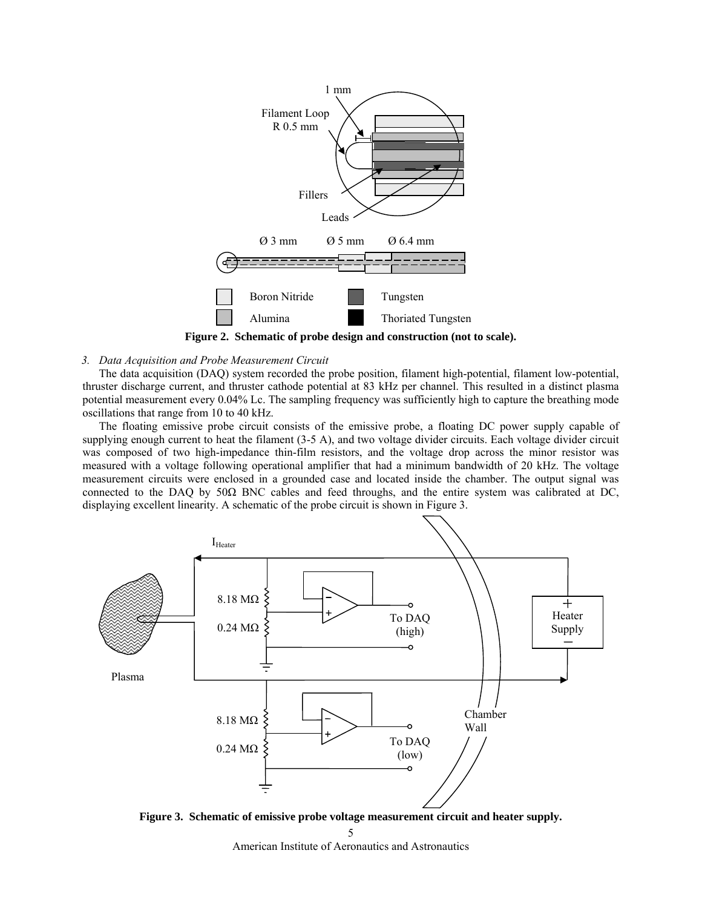

**Figure 2. Schematic of probe design and construction (not to scale).** 

### <span id="page-4-0"></span>*3. Data Acquisition and Probe Measurement Circuit*

The data acquisition (DAQ) system recorded the probe position, filament high-potential, filament low-potential, thruster discharge current, and thruster cathode potential at 83 kHz per channel. This resulted in a distinct plasma potential measurement every 0.04% Lc. The sampling frequency was sufficiently high to capture the breathing mode oscillations that range from 10 to 40 kHz.

The floating emissive probe circuit consists of the emissive probe, a floating DC power supply capable of supplying enough current to heat the filament (3-5 A), and two voltage divider circuits. Each voltage divider circuit was composed of two high-impedance thin-film resistors, and the voltage drop across the minor resistor was measured with a voltage following operational amplifier that had a minimum bandwidth of 20 kHz. The voltage measurement circuits were enclosed in a grounded case and located inside the chamber. The output signal was connected to the DAQ by 50Ω BNC cables and feed throughs, and the entire system was calibrated at DC, displaying excellent linearity. A schematic of the probe circuit is shown in [Figure 3.](#page-4-1)



<span id="page-4-1"></span>**Figure 3. Schematic of emissive probe voltage measurement circuit and heater supply.** 

5

American Institute of Aeronautics and Astronautics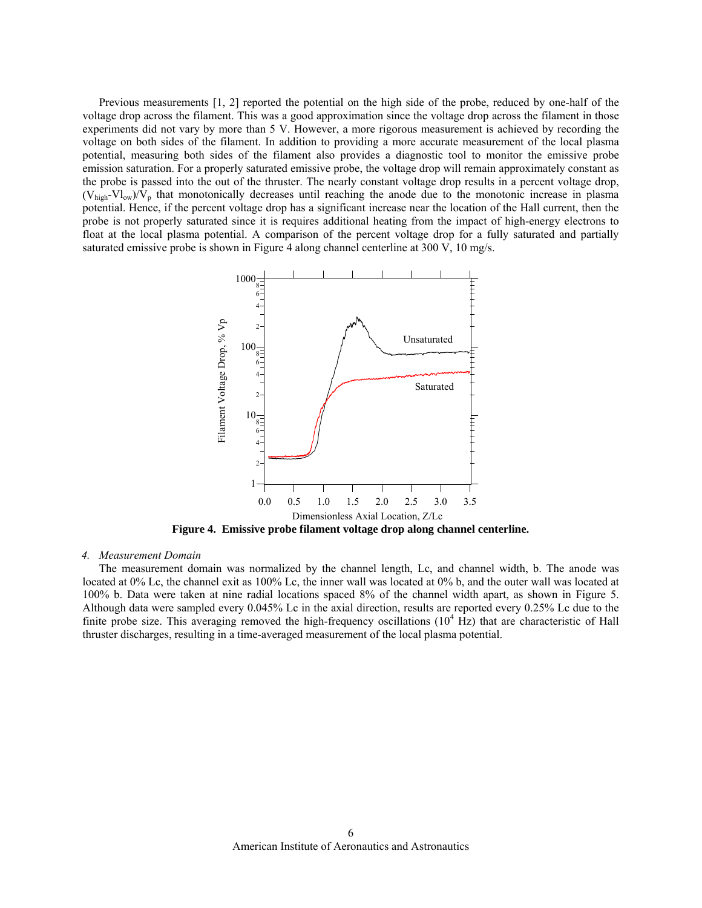Previous measurements [1, 2] reported the potential on the high side of the probe, reduced by one-half of the voltage drop across the filament. This was a good approximation since the voltage drop across the filament in those experiments did not vary by more than 5 V. However, a more rigorous measurement is achieved by recording the voltage on both sides of the filament. In addition to providing a more accurate measurement of the local plasma potential, measuring both sides of the filament also provides a diagnostic tool to monitor the emissive probe emission saturation. For a properly saturated emissive probe, the voltage drop will remain approximately constant as the probe is passed into the out of the thruster. The nearly constant voltage drop results in a percent voltage drop,  $(V_{high}-Vl_{ow})/V_p$  that monotonically decreases until reaching the anode due to the monotonic increase in plasma potential. Hence, if the percent voltage drop has a significant increase near the location of the Hall current, then the probe is not properly saturated since it is requires additional heating from the impact of high-energy electrons to float at the local plasma potential. A comparison of the percent voltage drop for a fully saturated and partially saturated emissive probe is shown in [Figure 4](#page-5-0) along channel centerline at 300 V, 10 mg/s.



**Figure 4. Emissive probe filament voltage drop along channel centerline.** 

#### <span id="page-5-0"></span>*4. Measurement Domain*

The measurement domain was normalized by the channel length, Lc, and channel width, b. The anode was located at 0% Lc, the channel exit as 100% Lc, the inner wall was located at 0% b, and the outer wall was located at 100% b. Data were taken at nine radial locations spaced 8% of the channel width apart, as shown in [Figure 5.](#page-6-0) Although data were sampled every 0.045% Lc in the axial direction, results are reported every 0.25% Lc due to the finite probe size. This averaging removed the high-frequency oscillations  $(10^4 \text{ Hz})$  that are characteristic of Hall thruster discharges, resulting in a time-averaged measurement of the local plasma potential.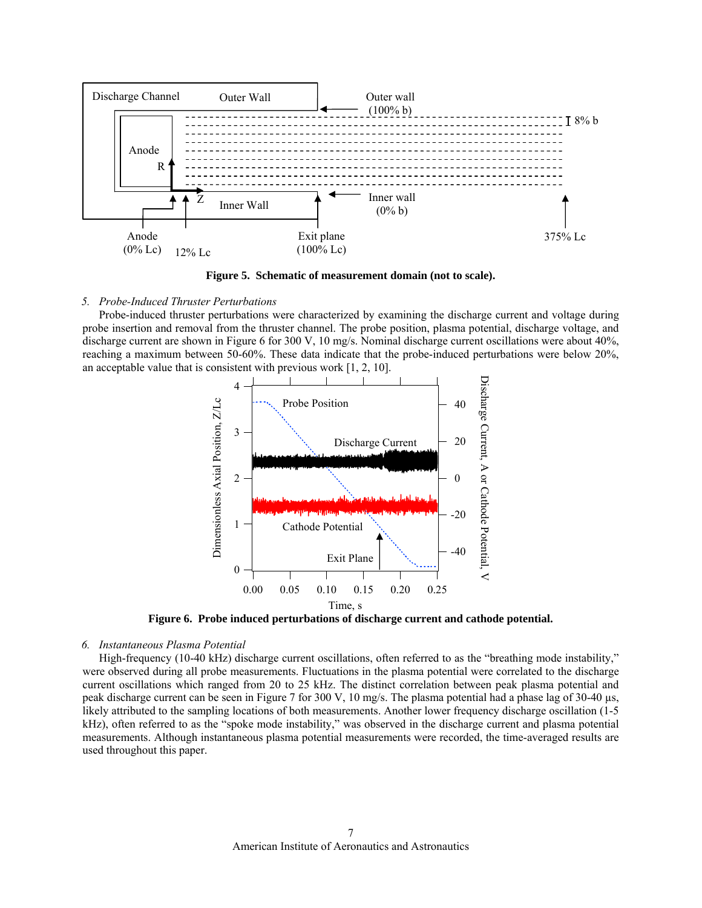

**Figure 5. Schematic of measurement domain (not to scale).** 

## <span id="page-6-0"></span>*5. Probe-Induced Thruster Perturbations*

Probe-induced thruster perturbations were characterized by examining the discharge current and voltage during probe insertion and removal from the thruster channel. The probe position, plasma potential, discharge voltage, and discharge current are shown in [Figure 6](#page-6-1) for 300 V, 10 mg/s. Nominal discharge current oscillations were about 40%, reaching a maximum between 50-60%. These data indicate that the probe-induced perturbations were below 20%, an acceptable value that is consistent with previous work [1, 2, 10].



**Figure 6. Probe induced perturbations of discharge current and cathode potential.** 

### <span id="page-6-1"></span>*6. Instantaneous Plasma Potential*

High-frequency (10-40 kHz) discharge current oscillations, often referred to as the "breathing mode instability," were observed during all probe measurements. Fluctuations in the plasma potential were correlated to the discharge current oscillations which ranged from 20 to 25 kHz. The distinct correlation between peak plasma potential and peak discharge current can be seen in [Figure 7](#page-7-0) for 300 V, 10 mg/s. The plasma potential had a phase lag of 30-40 µs, likely attributed to the sampling locations of both measurements. Another lower frequency discharge oscillation (1-5 kHz), often referred to as the "spoke mode instability," was observed in the discharge current and plasma potential measurements. Although instantaneous plasma potential measurements were recorded, the time-averaged results are used throughout this paper.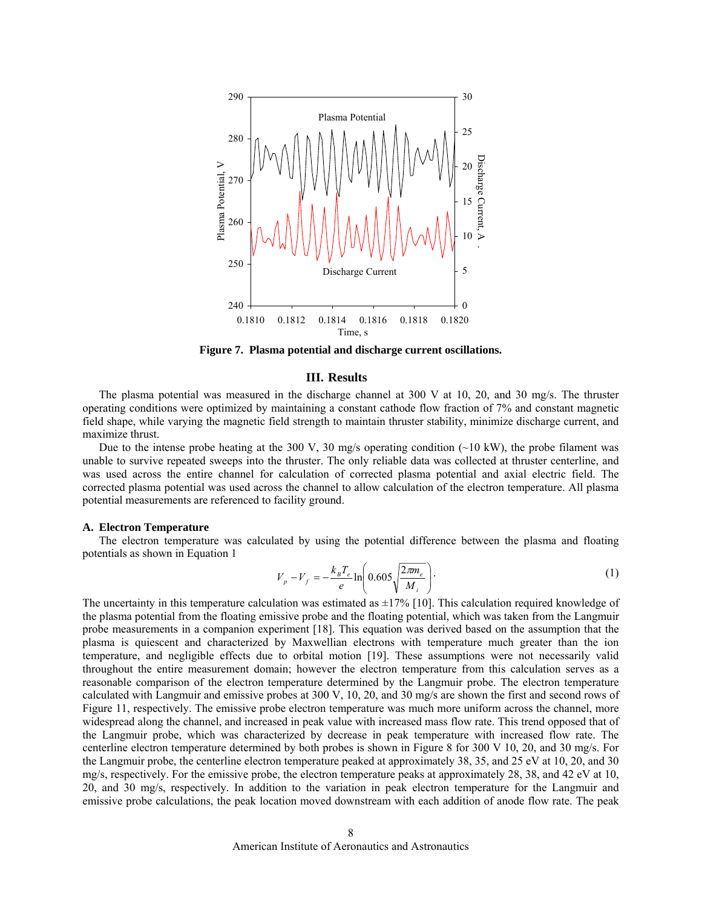

**Figure 7. Plasma potential and discharge current oscillations.** 

### **III. Results**

<span id="page-7-0"></span>The plasma potential was measured in the discharge channel at 300 V at 10, 20, and 30 mg/s. The thruster operating conditions were optimized by maintaining a constant cathode flow fraction of 7% and constant magnetic field shape, while varying the magnetic field strength to maintain thruster stability, minimize discharge current, and maximize thrust.

Due to the intense probe heating at the 300 V, 30 mg/s operating condition  $\sim$ 10 kW), the probe filament was unable to survive repeated sweeps into the thruster. The only reliable data was collected at thruster centerline, and was used across the entire channel for calculation of corrected plasma potential and axial electric field. The corrected plasma potential was used across the channel to allow calculation of the electron temperature. All plasma potential measurements are referenced to facility ground.

#### **A. Electron Temperature**

The electron temperature was calculated by using the potential difference between the plasma and floating potentials as shown in Equation 1

$$
V_p - V_f = -\frac{k_B T_e}{e} \ln \left( 0.605 \sqrt{\frac{2\pi m_e}{M_i}} \right).
$$
 (1)

The uncertainty in this temperature calculation was estimated as  $\pm 17\%$  [10]. This calculation required knowledge of the plasma potential from the floating emissive probe and the floating potential, which was taken from the Langmuir probe measurements in a companion experiment [18]. This equation was derived based on the assumption that the plasma is quiescent and characterized by Maxwellian electrons with temperature much greater than the ion temperature, and negligible effects due to orbital motion [19]. These assumptions were not necessarily valid throughout the entire measurement domain; however the electron temperature from this calculation serves as a reasonable comparison of the electron temperature determined by the Langmuir probe. The electron temperature calculated with Langmuir and emissive probes at 300 V, 10, 20, and 30 mg/s are shown the first and second rows of [Figure 11,](#page-10-0) respectively. The emissive probe electron temperature was much more uniform across the channel, more widespread along the channel, and increased in peak value with increased mass flow rate. This trend opposed that of the Langmuir probe, which was characterized by decrease in peak temperature with increased flow rate. The centerline electron temperature determined by both probes is shown in [Figure 8](#page-8-0) for 300 V 10, 20, and 30 mg/s. For the Langmuir probe, the centerline electron temperature peaked at approximately 38, 35, and 25 eV at 10, 20, and 30 mg/s, respectively. For the emissive probe, the electron temperature peaks at approximately 28, 38, and 42 eV at 10, 20, and 30 mg/s, respectively. In addition to the variation in peak electron temperature for the Langmuir and emissive probe calculations, the peak location moved downstream with each addition of anode flow rate. The peak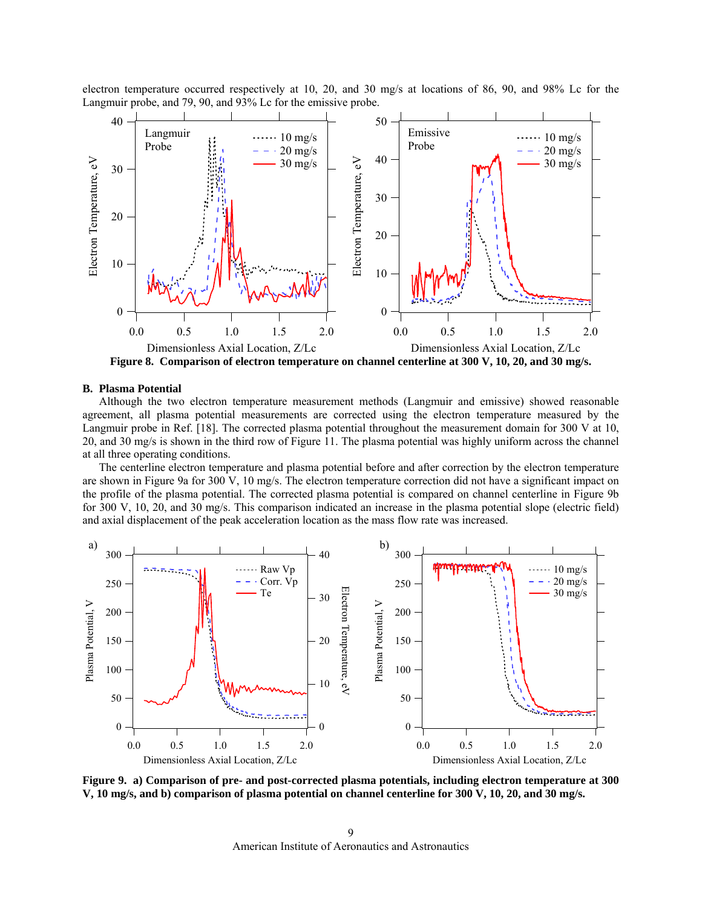electron temperature occurred respectively at 10, 20, and 30 mg/s at locations of 86, 90, and 98% Lc for the Langmuir probe, and 79, 90, and 93% Lc for the emissive probe.



**Figure 8. Comparison of electron temperature on channel centerline at 300 V, 10, 20, and 30 mg/s.** 

#### <span id="page-8-0"></span>**B. Plasma Potential**

Although the two electron temperature measurement methods (Langmuir and emissive) showed reasonable agreement, all plasma potential measurements are corrected using the electron temperature measured by the Langmuir probe in Ref. [18]. The corrected plasma potential throughout the measurement domain for 300 V at 10, 20, and 30 mg/s is shown in the third row of [Figure 11.](#page-10-0) The plasma potential was highly uniform across the channel at all three operating conditions.

The centerline electron temperature and plasma potential before and after correction by the electron temperature are shown in [Figure 9a](#page-8-1) for 300 V, 10 mg/s. The electron temperature correction did not have a significant impact on the profile of the plasma potential. The corrected plasma potential is compared on channel centerline in [Figure 9b](#page-8-1) for 300 V, 10, 20, and 30 mg/s. This comparison indicated an increase in the plasma potential slope (electric field) and axial displacement of the peak acceleration location as the mass flow rate was increased.



<span id="page-8-1"></span>**Figure 9. a) Comparison of pre- and post-corrected plasma potentials, including electron temperature at 300 V, 10 mg/s, and b) comparison of plasma potential on channel centerline for 300 V, 10, 20, and 30 mg/s.**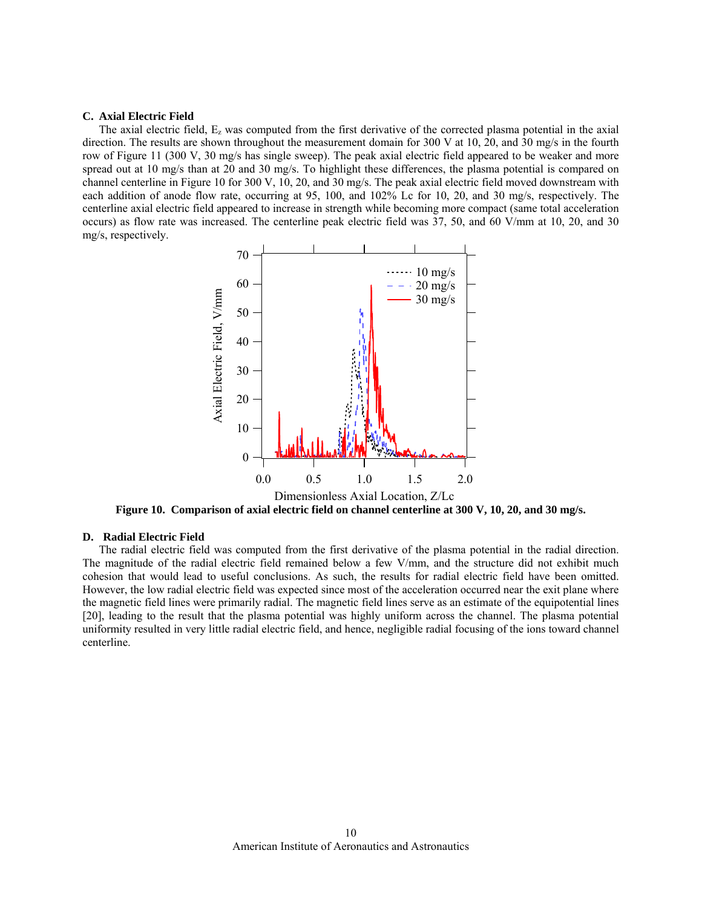#### **C. Axial Electric Field**

The axial electric field,  $E_z$  was computed from the first derivative of the corrected plasma potential in the axial direction. The results are shown throughout the measurement domain for 300 V at 10, 20, and 30 mg/s in the fourth row of [Figure 11](#page-10-0) (300 V, 30 mg/s has single sweep). The peak axial electric field appeared to be weaker and more spread out at 10 mg/s than at 20 and 30 mg/s. To highlight these differences, the plasma potential is compared on channel centerline in [Figure 10](#page-9-0) for 300 V, 10, 20, and 30 mg/s. The peak axial electric field moved downstream with each addition of anode flow rate, occurring at 95, 100, and 102% Lc for 10, 20, and 30 mg/s, respectively. The centerline axial electric field appeared to increase in strength while becoming more compact (same total acceleration occurs) as flow rate was increased. The centerline peak electric field was 37, 50, and 60 V/mm at 10, 20, and 30 mg/s, respectively.



**Figure 10. Comparison of axial electric field on channel centerline at 300 V, 10, 20, and 30 mg/s.** 

# <span id="page-9-0"></span>**D. Radial Electric Field**

The radial electric field was computed from the first derivative of the plasma potential in the radial direction. The magnitude of the radial electric field remained below a few V/mm, and the structure did not exhibit much cohesion that would lead to useful conclusions. As such, the results for radial electric field have been omitted. However, the low radial electric field was expected since most of the acceleration occurred near the exit plane where the magnetic field lines were primarily radial. The magnetic field lines serve as an estimate of the equipotential lines [20], leading to the result that the plasma potential was highly uniform across the channel. The plasma potential uniformity resulted in very little radial electric field, and hence, negligible radial focusing of the ions toward channel centerline.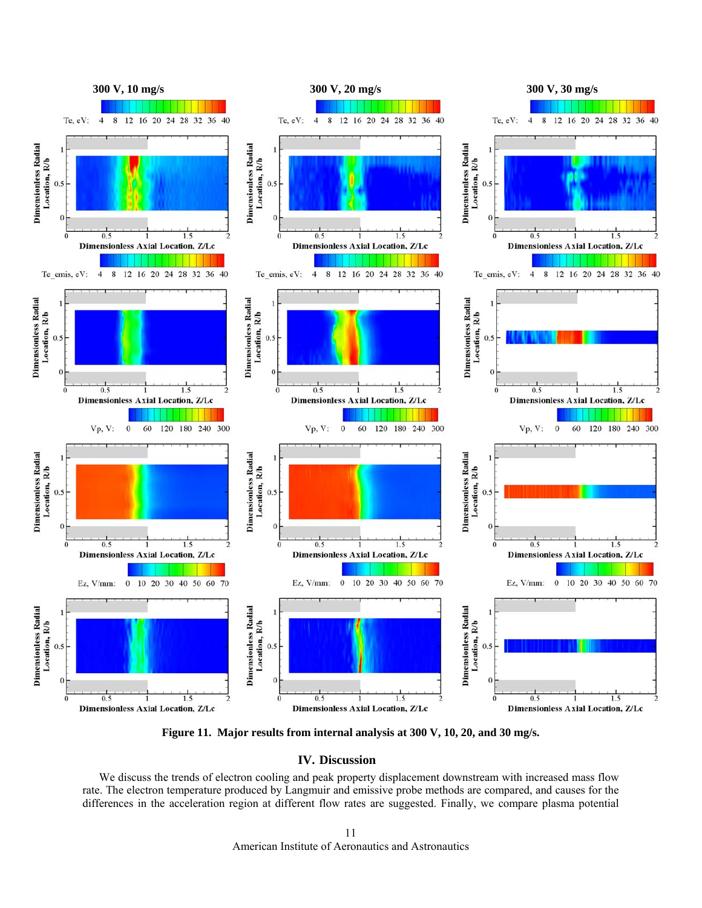

**Figure 11. Major results from internal analysis at 300 V, 10, 20, and 30 mg/s.** 

# **IV. Discussion**

<span id="page-10-0"></span>We discuss the trends of electron cooling and peak property displacement downstream with increased mass flow rate. The electron temperature produced by Langmuir and emissive probe methods are compared, and causes for the differences in the acceleration region at different flow rates are suggested. Finally, we compare plasma potential

> American Institute of Aeronautics and Astronautics 11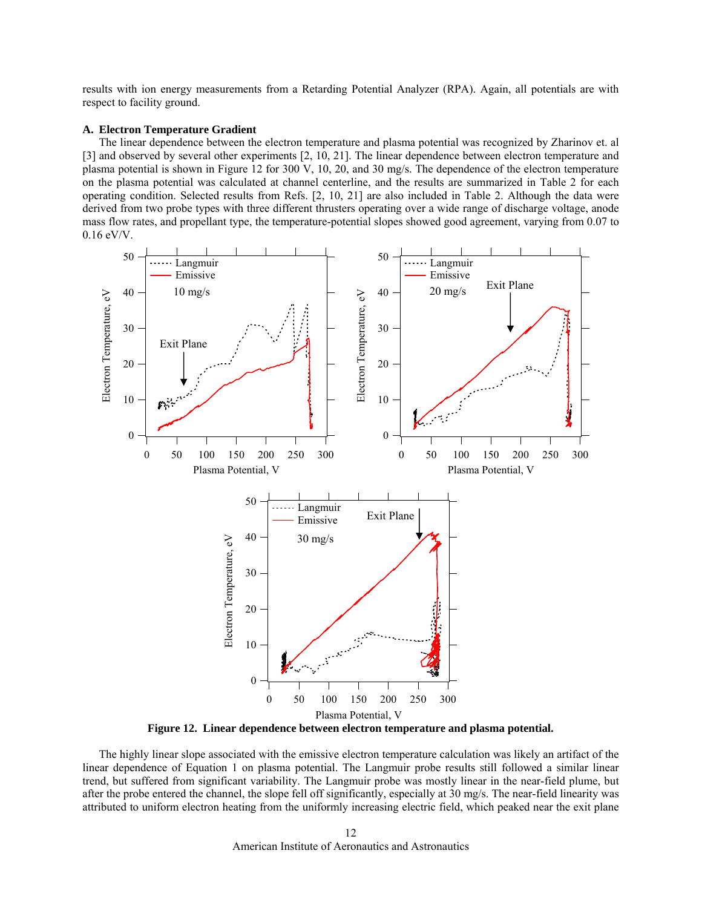results with ion energy measurements from a Retarding Potential Analyzer (RPA). Again, all potentials are with respect to facility ground.

### **A. Electron Temperature Gradient**

The linear dependence between the electron temperature and plasma potential was recognized by Zharinov et. al [3] and observed by several other experiments [2, 10, 21]. The linear dependence between electron temperature and plasma potential is shown in [Figure 12](#page-11-0) for 300 V, 10, 20, and 30 mg/s. The dependence of the electron temperature on the plasma potential was calculated at channel centerline, and the results are summarized in [Table 2](#page-12-0) for each operating condition. Selected results from Refs. [2, 10, 21] are also included in [Table 2.](#page-12-0) Although the data were derived from two probe types with three different thrusters operating over a wide range of discharge voltage, anode mass flow rates, and propellant type, the temperature-potential slopes showed good agreement, varying from 0.07 to 0.16 eV/V.



**Figure 12. Linear dependence between electron temperature and plasma potential.** 

<span id="page-11-0"></span>The highly linear slope associated with the emissive electron temperature calculation was likely an artifact of the linear dependence of Equation 1 on plasma potential. The Langmuir probe results still followed a similar linear trend, but suffered from significant variability. The Langmuir probe was mostly linear in the near-field plume, but after the probe entered the channel, the slope fell off significantly, especially at 30 mg/s. The near-field linearity was attributed to uniform electron heating from the uniformly increasing electric field, which peaked near the exit plane

> American Institute of Aeronautics and Astronautics 12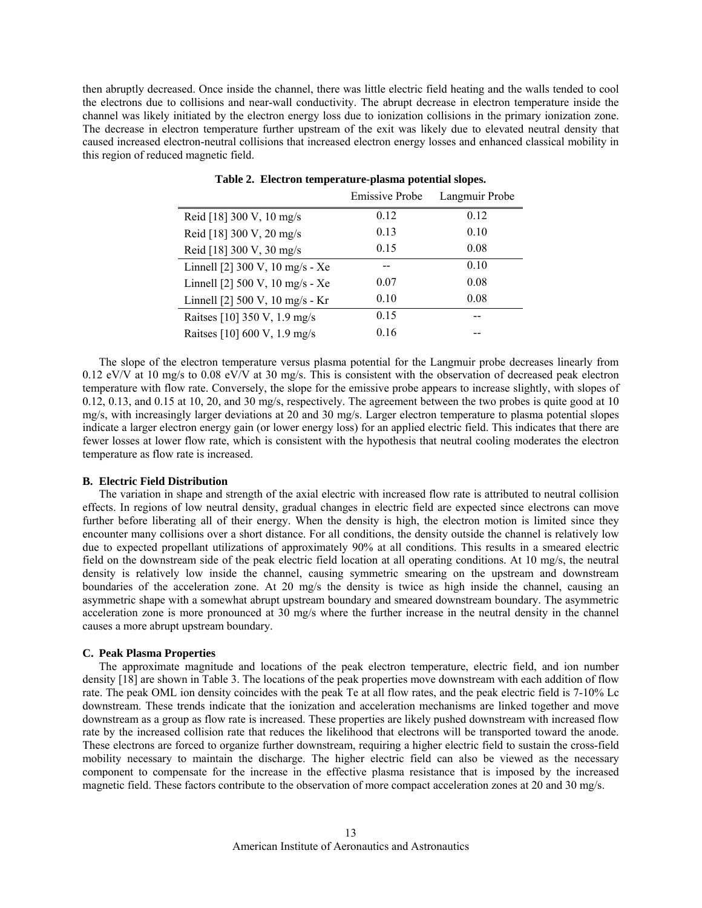<span id="page-12-0"></span>then abruptly decreased. Once inside the channel, there was little electric field heating and the walls tended to cool the electrons due to collisions and near-wall conductivity. The abrupt decrease in electron temperature inside the channel was likely initiated by the electron energy loss due to ionization collisions in the primary ionization zone. The decrease in electron temperature further upstream of the exit was likely due to elevated neutral density that caused increased electron-neutral collisions that increased electron energy losses and enhanced classical mobility in this region of reduced magnetic field.

|                                 | <b>Emissive Probe</b> | Langmuir Probe |
|---------------------------------|-----------------------|----------------|
| Reid [18] 300 V, 10 mg/s        | 0.12                  | 0.12           |
| Reid [18] 300 V, 20 mg/s        | 0.13                  | 0.10           |
| Reid [18] 300 V, 30 mg/s        | 0.15                  | 0.08           |
| Linnell [2] 300 V, 10 mg/s - Xe |                       | 0.10           |
| Linnell [2] 500 V, 10 mg/s - Xe | 0.07                  | 0.08           |
| Linnell [2] 500 V, 10 mg/s - Kr | 0.10                  | 0.08           |
| Raitses [10] 350 V, 1.9 mg/s    | 0.15                  |                |
| Raitses [10] 600 V, 1.9 mg/s    | 0.16                  |                |

**Table 2. Electron temperature-plasma potential slopes.** 

The slope of the electron temperature versus plasma potential for the Langmuir probe decreases linearly from 0.12 eV/V at 10 mg/s to 0.08 eV/V at 30 mg/s. This is consistent with the observation of decreased peak electron temperature with flow rate. Conversely, the slope for the emissive probe appears to increase slightly, with slopes of 0.12, 0.13, and 0.15 at 10, 20, and 30 mg/s, respectively. The agreement between the two probes is quite good at 10 mg/s, with increasingly larger deviations at 20 and 30 mg/s. Larger electron temperature to plasma potential slopes indicate a larger electron energy gain (or lower energy loss) for an applied electric field. This indicates that there are fewer losses at lower flow rate, which is consistent with the hypothesis that neutral cooling moderates the electron temperature as flow rate is increased.

#### **B. Electric Field Distribution**

The variation in shape and strength of the axial electric with increased flow rate is attributed to neutral collision effects. In regions of low neutral density, gradual changes in electric field are expected since electrons can move further before liberating all of their energy. When the density is high, the electron motion is limited since they encounter many collisions over a short distance. For all conditions, the density outside the channel is relatively low due to expected propellant utilizations of approximately 90% at all conditions. This results in a smeared electric field on the downstream side of the peak electric field location at all operating conditions. At 10 mg/s, the neutral density is relatively low inside the channel, causing symmetric smearing on the upstream and downstream boundaries of the acceleration zone. At 20 mg/s the density is twice as high inside the channel, causing an asymmetric shape with a somewhat abrupt upstream boundary and smeared downstream boundary. The asymmetric acceleration zone is more pronounced at 30 mg/s where the further increase in the neutral density in the channel causes a more abrupt upstream boundary.

#### **C. Peak Plasma Properties**

The approximate magnitude and locations of the peak electron temperature, electric field, and ion number density [18] are shown in [Table 3.](#page-13-0) The locations of the peak properties move downstream with each addition of flow rate. The peak OML ion density coincides with the peak Te at all flow rates, and the peak electric field is 7-10% Lc downstream. These trends indicate that the ionization and acceleration mechanisms are linked together and move downstream as a group as flow rate is increased. These properties are likely pushed downstream with increased flow rate by the increased collision rate that reduces the likelihood that electrons will be transported toward the anode. These electrons are forced to organize further downstream, requiring a higher electric field to sustain the cross-field mobility necessary to maintain the discharge. The higher electric field can also be viewed as the necessary component to compensate for the increase in the effective plasma resistance that is imposed by the increased magnetic field. These factors contribute to the observation of more compact acceleration zones at 20 and 30 mg/s.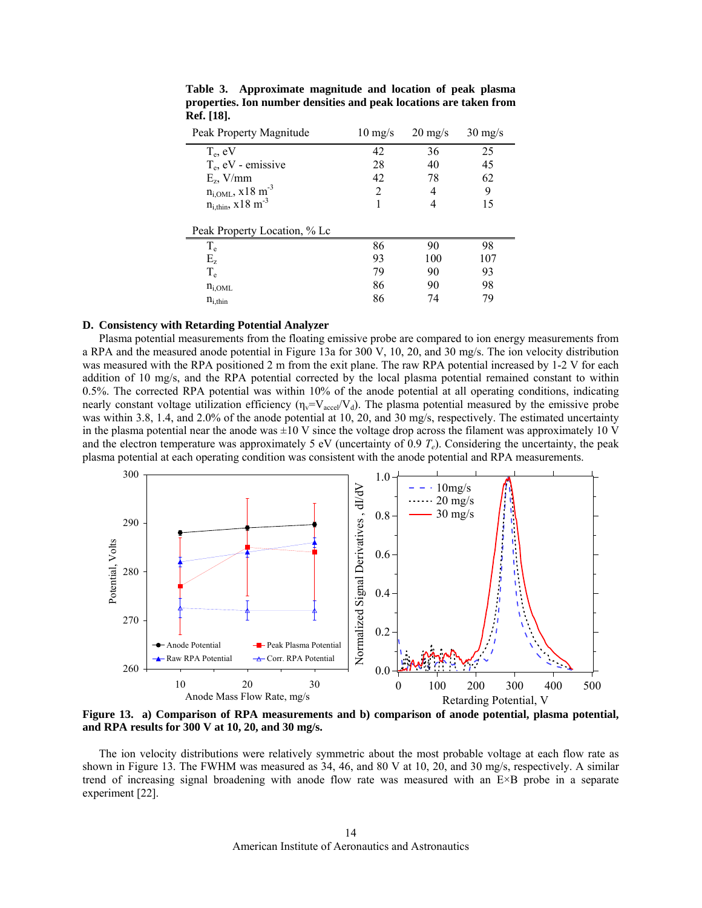| Peak Property Magnitude            | $10 \text{ mg/s}$ | $20 \frac{\text{mg}}{\text{s}}$ | $30 \text{ mg/s}$ |  |
|------------------------------------|-------------------|---------------------------------|-------------------|--|
| $T_e$ , eV                         | 42                | 36                              | 25                |  |
| $T_e$ , eV - emissive              | 28                | 40                              | 45                |  |
| $E_z$ , V/mm                       | 42                | 78                              | 62                |  |
| $n_{i,OML}$ , x 18 m <sup>-3</sup> | $\mathfrak{D}$    | 4                               | 9                 |  |
| $n_{i,thin}$ , x18 m <sup>-3</sup> |                   | 4                               | 15                |  |
| Peak Property Location, % Lc       |                   |                                 |                   |  |
| $T_{\rm e}$                        | 86                | 90                              | 98                |  |
| $E_z$                              | 93                | 100                             | 107               |  |
| $T_e$                              | 79                | 90                              | 93                |  |
| $n_{i,OML}$                        | 86                | 90                              | 98                |  |
| $n_{i,thin}$                       | 86                | 74                              | 79                |  |

<span id="page-13-0"></span>**Table 3. Approximate magnitude and location of peak plasma properties. Ion number densities and peak locations are taken from Ref. [18].** 

#### **D. Consistency with Retarding Potential Analyzer**

Plasma potential measurements from the floating emissive probe are compared to ion energy measurements from a RPA and the measured anode potential in [Figure 13](#page-13-1)a for 300 V, 10, 20, and 30 mg/s. The ion velocity distribution was measured with the RPA positioned 2 m from the exit plane. The raw RPA potential increased by 1-2 V for each addition of 10 mg/s, and the RPA potential corrected by the local plasma potential remained constant to within 0.5%. The corrected RPA potential was within 10% of the anode potential at all operating conditions, indicating nearly constant voltage utilization efficiency  $(\eta_v=V_{\text{accel}}/V_d)$ . The plasma potential measured by the emissive probe was within 3.8, 1.4, and 2.0% of the anode potential at 10, 20, and 30 mg/s, respectively. The estimated uncertainty in the plasma potential near the anode was  $\pm 10$  V since the voltage drop across the filament was approximately 10 V and the electron temperature was approximately 5 eV (uncertainty of 0.9  $T_e$ ). Considering the uncertainty, the peak plasma potential at each operating condition was consistent with the anode potential and RPA measurements.



<span id="page-13-1"></span>**Figure 13. a) Comparison of RPA measurements and b) comparison of anode potential, plasma potential, and RPA results for 300 V at 10, 20, and 30 mg/s.** 

The ion velocity distributions were relatively symmetric about the most probable voltage at each flow rate as shown in [Figure 13.](#page-13-1) The FWHM was measured as 34, 46, and 80 V at 10, 20, and 30 mg/s, respectively. A similar trend of increasing signal broadening with anode flow rate was measured with an E×B probe in a separate experiment [22].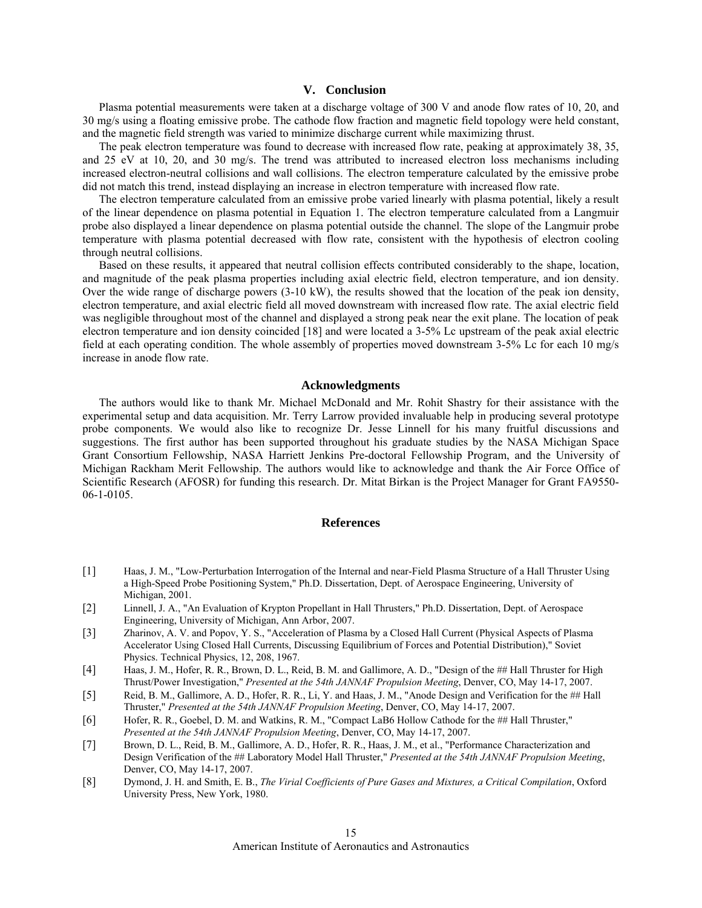## **V. Conclusion**

Plasma potential measurements were taken at a discharge voltage of 300 V and anode flow rates of 10, 20, and 30 mg/s using a floating emissive probe. The cathode flow fraction and magnetic field topology were held constant, and the magnetic field strength was varied to minimize discharge current while maximizing thrust.

The peak electron temperature was found to decrease with increased flow rate, peaking at approximately 38, 35, and 25 eV at 10, 20, and 30 mg/s. The trend was attributed to increased electron loss mechanisms including increased electron-neutral collisions and wall collisions. The electron temperature calculated by the emissive probe did not match this trend, instead displaying an increase in electron temperature with increased flow rate.

The electron temperature calculated from an emissive probe varied linearly with plasma potential, likely a result of the linear dependence on plasma potential in Equation 1. The electron temperature calculated from a Langmuir probe also displayed a linear dependence on plasma potential outside the channel. The slope of the Langmuir probe temperature with plasma potential decreased with flow rate, consistent with the hypothesis of electron cooling through neutral collisions.

Based on these results, it appeared that neutral collision effects contributed considerably to the shape, location, and magnitude of the peak plasma properties including axial electric field, electron temperature, and ion density. Over the wide range of discharge powers (3-10 kW), the results showed that the location of the peak ion density, electron temperature, and axial electric field all moved downstream with increased flow rate. The axial electric field was negligible throughout most of the channel and displayed a strong peak near the exit plane. The location of peak electron temperature and ion density coincided [18] and were located a 3-5% Lc upstream of the peak axial electric field at each operating condition. The whole assembly of properties moved downstream 3-5% Lc for each 10 mg/s increase in anode flow rate.

## **Acknowledgments**

The authors would like to thank Mr. Michael McDonald and Mr. Rohit Shastry for their assistance with the experimental setup and data acquisition. Mr. Terry Larrow provided invaluable help in producing several prototype probe components. We would also like to recognize Dr. Jesse Linnell for his many fruitful discussions and suggestions. The first author has been supported throughout his graduate studies by the NASA Michigan Space Grant Consortium Fellowship, NASA Harriett Jenkins Pre-doctoral Fellowship Program, and the University of Michigan Rackham Merit Fellowship. The authors would like to acknowledge and thank the Air Force Office of Scientific Research (AFOSR) for funding this research. Dr. Mitat Birkan is the Project Manager for Grant FA9550- 06-1-0105.

#### **References**

- [1] Haas, J. M., "Low-Perturbation Interrogation of the Internal and near-Field Plasma Structure of a Hall Thruster Using a High-Speed Probe Positioning System," Ph.D. Dissertation, Dept. of Aerospace Engineering, University of Michigan, 2001.
- [2] Linnell, J. A., "An Evaluation of Krypton Propellant in Hall Thrusters," Ph.D. Dissertation, Dept. of Aerospace Engineering, University of Michigan, Ann Arbor, 2007.
- [3] Zharinov, A. V. and Popov, Y. S., "Acceleration of Plasma by a Closed Hall Current (Physical Aspects of Plasma Accelerator Using Closed Hall Currents, Discussing Equilibrium of Forces and Potential Distribution)," Soviet Physics. Technical Physics, 12, 208, 1967.
- [4] Haas, J. M., Hofer, R. R., Brown, D. L., Reid, B. M. and Gallimore, A. D., "Design of the ## Hall Thruster for High Thrust/Power Investigation," *Presented at the 54th JANNAF Propulsion Meeting*, Denver, CO, May 14-17, 2007.
- [5] Reid, B. M., Gallimore, A. D., Hofer, R. R., Li, Y. and Haas, J. M., "Anode Design and Verification for the ## Hall Thruster," *Presented at the 54th JANNAF Propulsion Meeting*, Denver, CO, May 14-17, 2007.
- [6] Hofer, R. R., Goebel, D. M. and Watkins, R. M., "Compact LaB6 Hollow Cathode for the ## Hall Thruster," *Presented at the 54th JANNAF Propulsion Meeting*, Denver, CO, May 14-17, 2007.
- [7] Brown, D. L., Reid, B. M., Gallimore, A. D., Hofer, R. R., Haas, J. M., et al., "Performance Characterization and Design Verification of the ## Laboratory Model Hall Thruster," *Presented at the 54th JANNAF Propulsion Meeting*, Denver, CO, May 14-17, 2007.
- [8] Dymond, J. H. and Smith, E. B., *The Virial Coefficients of Pure Gases and Mixtures, a Critical Compilation*, Oxford University Press, New York, 1980.